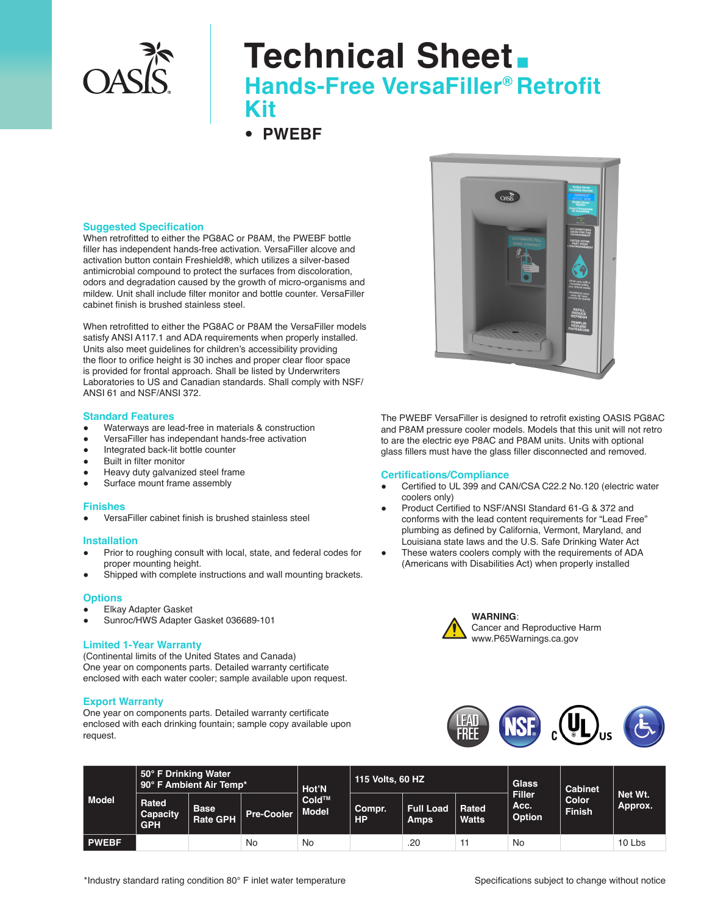

# **Technical Sheet. Hands-Free VersaFiller® Retrofit Kit**

• **PWEBF** 

#### **Suggested Specification**

When retrofitted to either the PG8AC or P8AM, the PWEBF bottle filler has independent hands-free activation. VersaFiller alcove and activation button contain Freshield**®**, which utilizes a silver-based antimicrobial compound to protect the surfaces from discoloration, odors and degradation caused by the growth of micro-organisms and mildew. Unit shall include filter monitor and bottle counter. VersaFiller cabinet finish is brushed stainless steel.

When retrofitted to either the PG8AC or P8AM the VersaFiller models satisfy ANSI A117.1 and ADA requirements when properly installed. Units also meet guidelines for children's accessibility providing the floor to orifice height is 30 inches and proper clear floor space is provided for frontal approach. Shall be listed by Underwriters Laboratories to US and Canadian standards. Shall comply with NSF/ ANSI 61 and NSF/ANSI 372.

#### **Standard Features**

- Waterways are lead-free in materials & construction
- VersaFiller has independant hands-free activation
- Integrated back-lit bottle counter
- Built in filter monitor
- Heavy duty galvanized steel frame
- Surface mount frame assembly

#### **Finishes**

VersaFiller cabinet finish is brushed stainless steel

#### **Installation**

- Prior to roughing consult with local, state, and federal codes for proper mounting height.
- Shipped with complete instructions and wall mounting brackets.

### **Options**

- **Elkay Adapter Gasket**
- Sunroc/HWS Adapter Gasket 036689-101

#### **Limited 1-Year Warranty**

(Continental limits of the United States and Canada) One year on components parts. Detailed warranty certificate enclosed with each water cooler; sample available upon request.

#### **Export Warranty**

One year on components parts. Detailed warranty certificate enclosed with each drinking fountain; sample copy available upon request.



The PWEBF VersaFiller is designed to retrofit existing OASIS PG8AC and P8AM pressure cooler models. Models that this unit will not retro to are the electric eye P8AC and P8AM units. Units with optional glass fillers must have the glass filler disconnected and removed.

#### **Certifications/Compliance**

- Certified to UL 399 and CAN/CSA C22.2 No.120 (electric water coolers only)
- Product Certified to NSF/ANSI Standard 61-G & 372 and conforms with the lead content requirements for "Lead Free" plumbing as defined by California, Vermont, Maryland, and Louisiana state laws and the U.S. Safe Drinking Water Act
- These waters coolers comply with the requirements of ADA (Americans with Disabilities Act) when properly installed



**WARNING**: Cancer and Reproductive Harm www.P65Warnings.ca.gov



| <b>Model</b> | 50° F Drinking Water<br>90° F Ambient Air Temp* |                                |                   | Hot'N          | 115 Volts, 60 HZ    |                                 |                  | <b>Glass</b>             | Cabinet                |                    |
|--------------|-------------------------------------------------|--------------------------------|-------------------|----------------|---------------------|---------------------------------|------------------|--------------------------|------------------------|--------------------|
|              | Rated<br>Capacity<br><b>GPH</b>                 | <b>Base</b><br><b>Rate GPH</b> | <b>Pre-Cooler</b> | Cold™<br>Model | Compr.<br><b>HP</b> | <b>Full Load</b><br><b>Amps</b> | ∣ Rated<br>Watts | Filler<br>Acc.<br>Option | Color<br><b>Finish</b> | Net Wt.<br>Approx. |
| <b>PWEBF</b> |                                                 |                                | No                | No             |                     | .20                             |                  | <b>No</b>                |                        | 10 Lbs             |